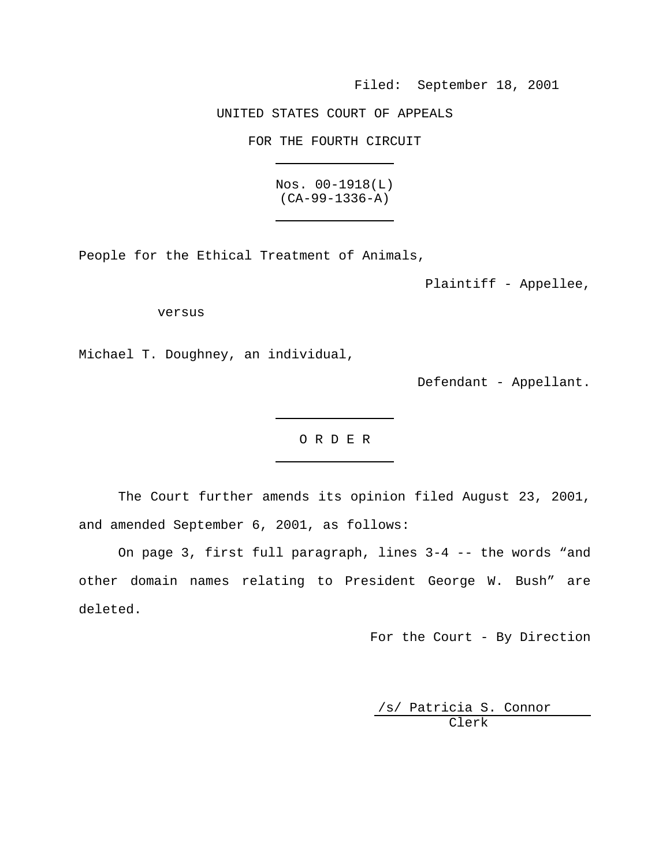## UNITED STATES COURT OF APPEALS

FOR THE FOURTH CIRCUIT

Nos. 00-1918(L) (CA-99-1336-A)

People for the Ethical Treatment of Animals,

Plaintiff - Appellee,

versus

Michael T. Doughney, an individual,

Defendant - Appellant.

## ORDER

The Court further amends its opinion filed August 23, 2001, and amended September 6, 2001, as follows:

On page 3, first full paragraph, lines 3-4 -- the words "and other domain names relating to President George W. Bush" are deleted.

For the Court - By Direction

/s/ Patricia S. Connor Clerk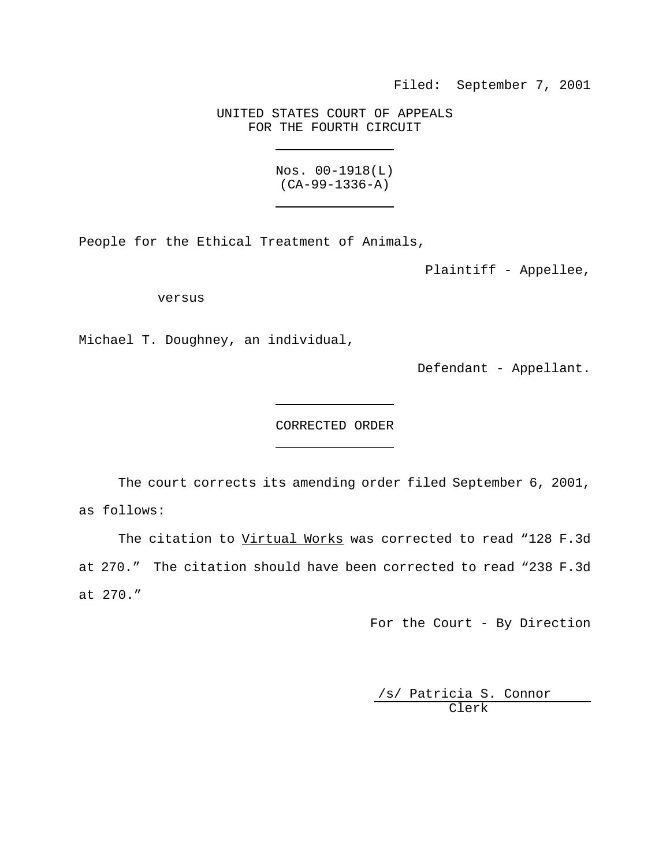UNITED STATES COURT OF APPEALS FOR THE FOURTH CIRCUIT

> Nos. 00-1918(L) (CA-99-1336-A)

People for the Ethical Treatment of Animals,

Plaintiff - Appellee,

versus

Michael T. Doughney, an individual,

Defendant - Appellant.

CORRECTED ORDER

The court corrects its amending order filed September 6, 2001, as follows:

The citation to Virtual Works was corrected to read "128 F.3d at 270." The citation should have been corrected to read "238 F.3d at 270."

For the Court - By Direction

/s/ Patricia S. Connor Clerk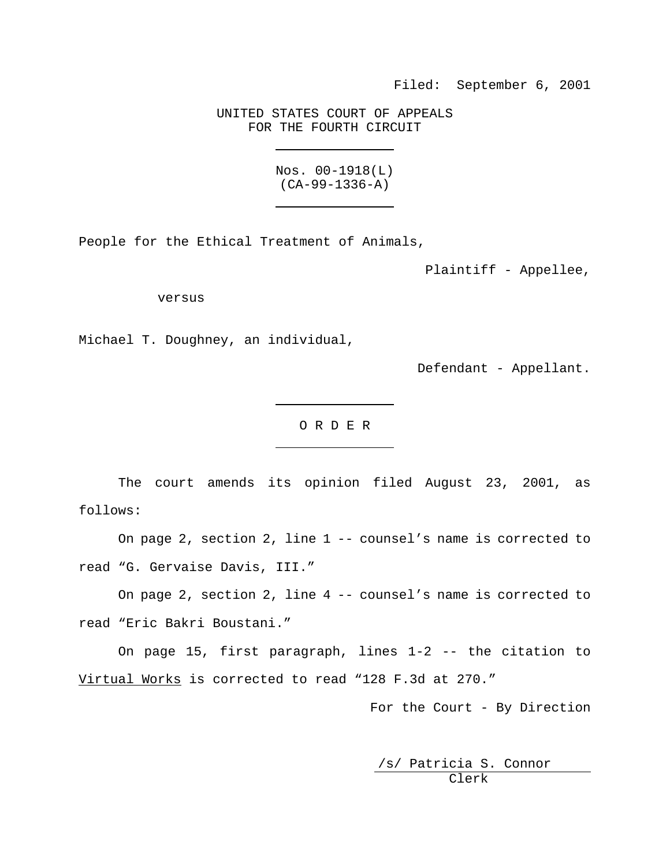UNITED STATES COURT OF APPEALS FOR THE FOURTH CIRCUIT

> Nos. 00-1918(L) (CA-99-1336-A)

People for the Ethical Treatment of Animals,

Plaintiff - Appellee,

versus

Michael T. Doughney, an individual,

Defendant - Appellant.

ORDER

The court amends its opinion filed August 23, 2001, as follows:

On page 2, section 2, line 1 -- counsel's name is corrected to read "G. Gervaise Davis, III."

On page 2, section 2, line 4 -- counsel's name is corrected to read "Eric Bakri Boustani."

On page 15, first paragraph, lines 1-2 -- the citation to Virtual Works is corrected to read "128 F.3d at 270."

For the Court - By Direction

/s/ Patricia S. Connor Clerk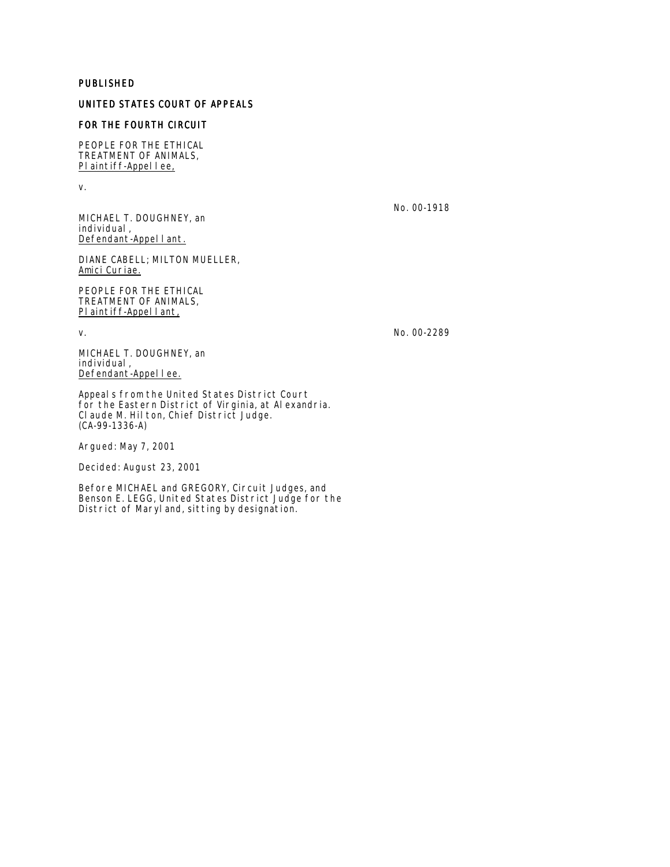## PUBLISHED

### UNITED STATES COURT OF APPEALS

#### FOR THE FOURTH CIRCUIT

PEOPLE FOR THE ETHICAL TREATMENT OF ANIMALS, Plaintiff-Appellee,

v.

No. 00-1918

MICHAEL T. DOUGHNEY, an individual, Defendant-Appellant.

DIANE CABELL; MILTON MUELLER, Amici Curiae.

PEOPLE FOR THE ETHICAL TREATMENT OF ANIMALS, Plaintiff-Appellant,

v. No. 00-2289

MICHAEL T. DOUGHNEY, an individual, Defendant-Appellee.

Appeals from the United States District Court for the Eastern District of Virginia, at Alexandria. Claude M. Hilton, Chief District Judge. (CA-99-1336-A)

Argued: May 7, 2001

Decided: August 23, 2001

Before MICHAEL and GREGORY, Circuit Judges, and Benson E. LEGG, United States District Judge for the District of Maryland, sitting by designation.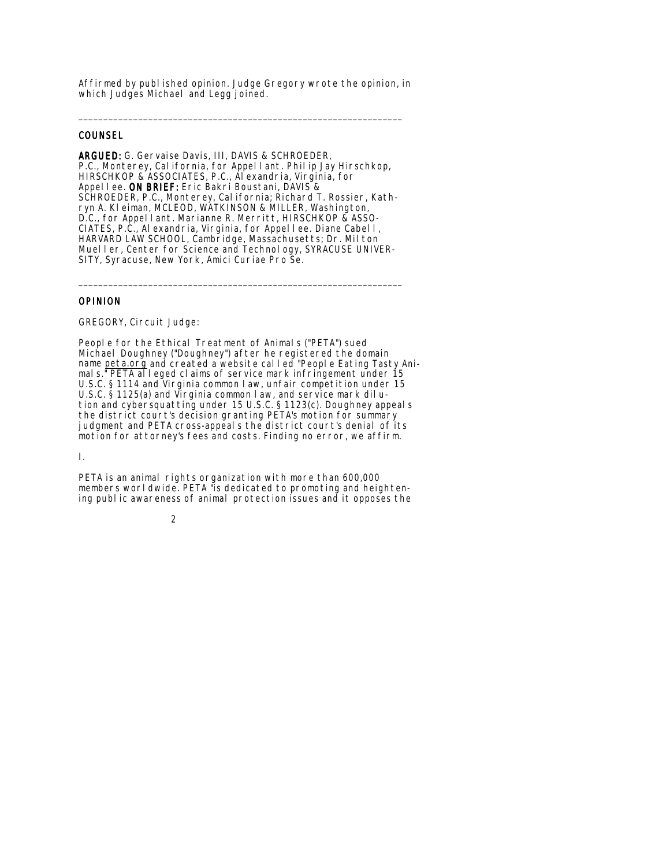Affirmed by published opinion. Judge Gregory wrote the opinion, in which Judges Michael and Legg joined.

\_\_\_\_\_\_\_\_\_\_\_\_\_\_\_\_\_\_\_\_\_\_\_\_\_\_\_\_\_\_\_\_\_\_\_\_\_\_\_\_\_\_\_\_\_\_\_\_\_\_\_\_\_\_\_\_\_\_\_\_\_\_\_\_\_

## **COUNSEL**

ARGUED: G. Gervaise Davis, III, DAVIS & SCHROEDER, P.C., Monterey, California, for Appellant. Philip Jay Hirschkop, HIRSCHKOP & ASSOCIATES, P.C., Alexandria, Virginia, for Appellee. ON BRIEF: Eric Bakri Boustani, DAVIS & SCHROEDER, P.C., Monterey, California; Richard T. Rossier, Kathryn A. Kleiman, MCLEOD, WATKINSON & MILLER, Washington, D.C., for Appellant. Marianne R. Merritt, HIRSCHKOP & ASSO-CIATES, P.C., Alexandria, Virginia, for Appellee. Diane Cabell, HARVARD LAW SCHOOL, Cambridge, Massachusetts; Dr. Milton Mueller, Center for Science and Technology, SYRACUSE UNIVER-SITY, Syracuse, New York, Amici Curiae Pro Se.

\_\_\_\_\_\_\_\_\_\_\_\_\_\_\_\_\_\_\_\_\_\_\_\_\_\_\_\_\_\_\_\_\_\_\_\_\_\_\_\_\_\_\_\_\_\_\_\_\_\_\_\_\_\_\_\_\_\_\_\_\_\_\_\_\_

## OPINION

GREGORY, Circuit Judge:

People for the Ethical Treatment of Animals ("PETA") sued Michael Doughney ("Doughney") after he registered the domain name peta.org and created a website called "People Eating Tasty Animals. PETA alleged claims of service mark infringement under 15 U.S.C. § 1114 and Virginia common law, unfair competition under 15 U.S.C. § 1125(a) and Virginia common law, and service mark dilution and cybersquatting under 15 U.S.C. § 1123(c). Doughney appeals the district court's decision granting PETA's motion for summary judgment and PETA cross-appeals the district court's denial of its motion for attorney's fees and costs. Finding no error, we affirm.

I.

PETA is an animal rights organization with more than 600,000 members worldwide. PETA "is dedicated to promoting and heightening public awareness of animal protection issues and it opposes the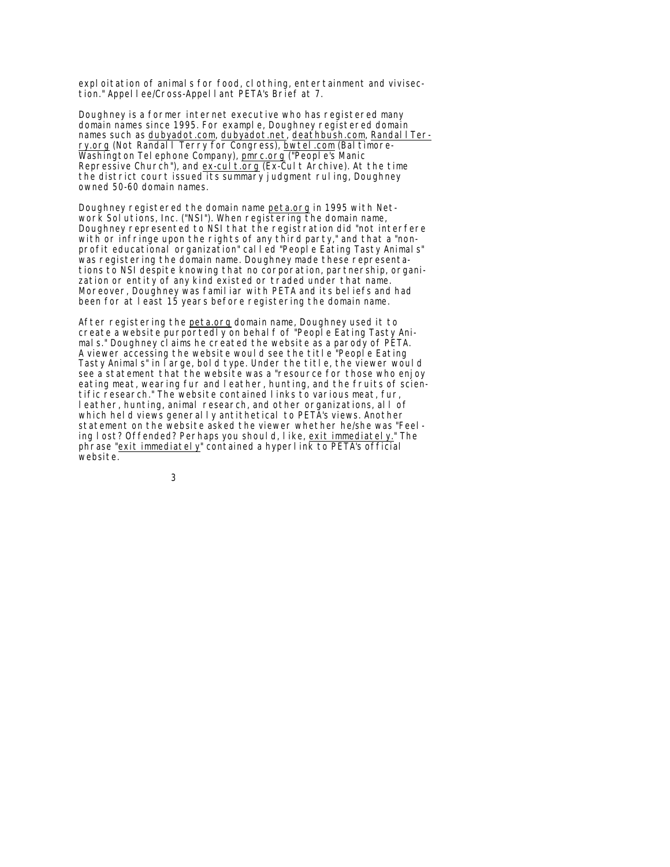exploitation of animals for food, clothing, entertainment and vivisection." Appellee/Cross-Appellant PETA's Brief at 7.

Doughney is a former internet executive who has registered many domain names since 1995. For example, Doughney registered domain names such as dubyadot.com, dubyadot.net, deathbush.com, RandallTer-<u>ry.org</u> (Not Randall Terry for Congress), <u>bwtel.com</u> (Baltimore-Washington Tel ephone Company), <u>pmrc.org</u> ("Peopl e's Manic Repressive Church"), and  $ex\text{-}cult.org$  (Ex-Cult Archive). At the time the district court issued its summary judgment ruling, Doughney owned 50-60 domain names.

Doughney registered the domain name peta.org in 1995 with Network Solutions, Inc. ("NSI"). When registering the domain name, Doughney represented to NSI that the registration did "not interfere with or infringe upon the rights of any third party," and that a "nonprofit educational organization" called "People Eating Tasty Animals" was registering the domain name. Doughney made these representations to NSI despite knowing that no corporation, partnership, organization or entity of any kind existed or traded under that name. Moreover, Doughney was familiar with PETA and its beliefs and had been for at least 15 years before registering the domain name.

After registering the peta.org domain name, Doughney used it to create a website purportedly on behalf of "People Eating Tasty Animals." Doughney claims he created the website as a parody of PETA. A viewer accessing the website would see the title "People Eating Tasty Animals" in large, bold type. Under the title, the viewer would see a statement that the website was a "resource for those who enjoy eating meat, wearing fur and leather, hunting, and the fruits of scientific research." The website contained links to various meat, fur, leather, hunting, animal research, and other organizations, all of which held views generally antithetical to PETA's views. Another statement on the website asked the viewer whether he/she was "Feeling lost? Offended? Perhaps you should, like, exit immediately." The phrase "exit immediately" contained a hyperlink to PETA's official website.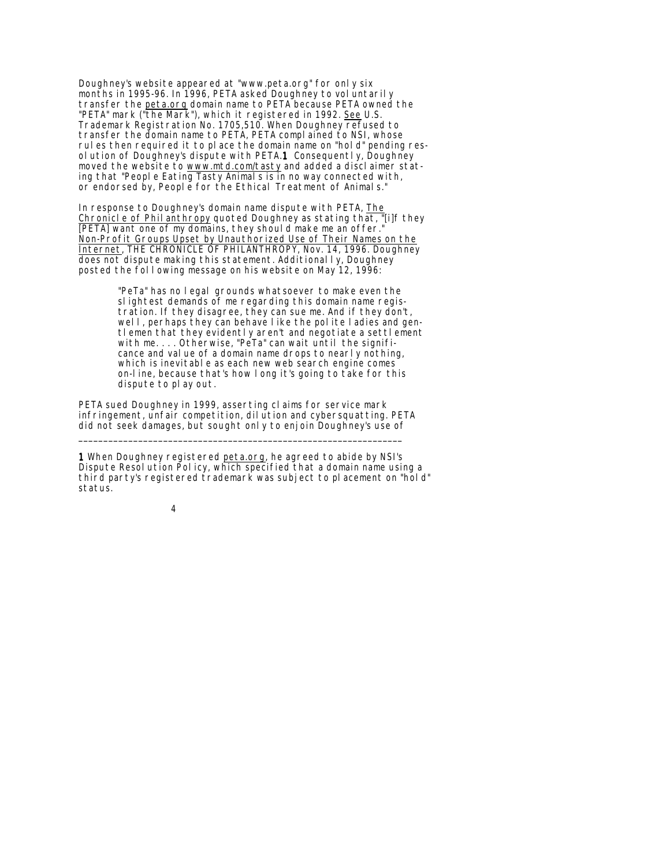Doughney's website appeared at "www.peta.org" for only six months in 1995-96. In 1996, PETA asked Doughney to voluntarily transfer the peta.org domain name to PETA because PETA owned the "PETA" mark ("the Mark"), which it registered in 1992. See U.S. Trademark Registration No. 1705,510. When Doughney refused to transfer the domain name to PETA, PETA complained to NSI, whose rules then required it to place the domain name on "hold" pending resol ution of Doughney's dispute with PETA.1 Consequently, Doughney moved the website to www.mtd.com/tasty and added a disclaimer stating that "People Eating Tasty Animals is in no way connected with, or endorsed by, People for the Ethical Treatment of Animals."

In response to Doughney's domain name dispute with PETA, The Chronicl e of Phil anthropy quoted Doughney as stating that, "[i]f they [PETA] want one of my domains, they should make me an offer." Non-Profit Groups Upset by Unauthorized Use of Their Names on the Internet, THE CHRONICLE OF PHILANTHROPY, Nov. 14, 1996. Doughney does not dispute making this statement. Additionally, Doughney posted the following message on his website on May  $12$ , 1996:

> "PeTa" has no legal grounds whatsoever to make even the slightest demands of me regarding this domain name registration. If they disagree, they can sue me. And if they don't, well, perhaps they can behave like the polite ladies and gentlemen that they evidently aren't and negotiate a settlement with me. . . . Otherwise, "PeTa" can wait until the significance and value of a domain name drops to nearly nothing, which is inevitable as each new web search engine comes on-line, because that's how long it's going to take for this dispute to play out.

PETA sued Doughney in 1999, asserting claims for service mark infringement, unfair competition, dil ution and cybersquatting. PETA did not seek damages, but sought only to enjoin Doughney's use of

\_\_\_\_\_\_\_\_\_\_\_\_\_\_\_\_\_\_\_\_\_\_\_\_\_\_\_\_\_\_\_\_\_\_\_\_\_\_\_\_\_\_\_\_\_\_\_\_\_\_\_\_\_\_\_\_\_\_\_\_\_\_\_\_\_

1 When Doughney registered peta.org, he agreed to abide by NSI's Dispute Resolution Policy, which specified that a domain name using a third party's registered trademark was subject to placement on "hold" status.

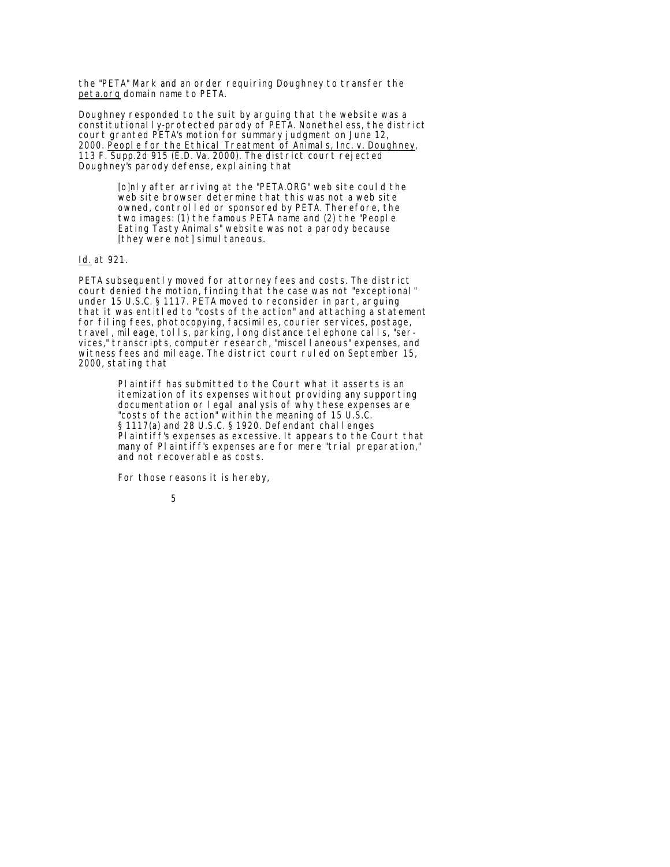the "PETA" Mark and an order requiring Doughney to transfer the peta.org domain name to PETA.

Doughney responded to the suit by arguing that the website was a constitutionally-protected parody of PETA. Nonetheless, the district court granted PETA's motion for summary judgment on June 12, 2000. People for the Ethical Treatment of Animals, Inc. v. Doughney, 113 F. Supp.2d 915 (E.D. Va. 2000). The district court rejected Doughney's parody defense, explaining that

> [o]nly after arriving at the "PETA.ORG" web site could the web site browser determine that this was not a web site owned, controlled or sponsored by PETA. Therefore, the two images: (1) the famous PETA name and (2) the "People Eating Tasty Animals" website was not a parody because [they were not] simul taneous.

#### Id. at 921.

PETA subsequently moved for attorney fees and costs. The district court denied the motion, finding that the case was not "exceptional" under 15 U.S.C. § 1117. PETA moved to reconsider in part, arguing that it was entitled to "costs of the action" and attaching a statement for filing fees, photocopying, facsimiles, courier services, postage, travel, mileage, tolls, parking, long distance telephone calls, "services," transcripts, computer research, "miscellaneous" expenses, and witness fees and mileage. The district court ruled on September 15, 2000, stating that

> Plaintiff has submitted to the Court what it asserts is an itemization of its expenses without providing any supporting documentation or legal analysis of why these expenses are "costs of the action" within the meaning of 15 U.S.C. § 1117(a) and 28 U.S.C. § 1920. Defendant challenges Plaintiff's expenses as excessive. It appears to the Court that many of Plaintiff's expenses are for mere "trial preparation," and not recoverable as costs.

For those reasons it is hereby,

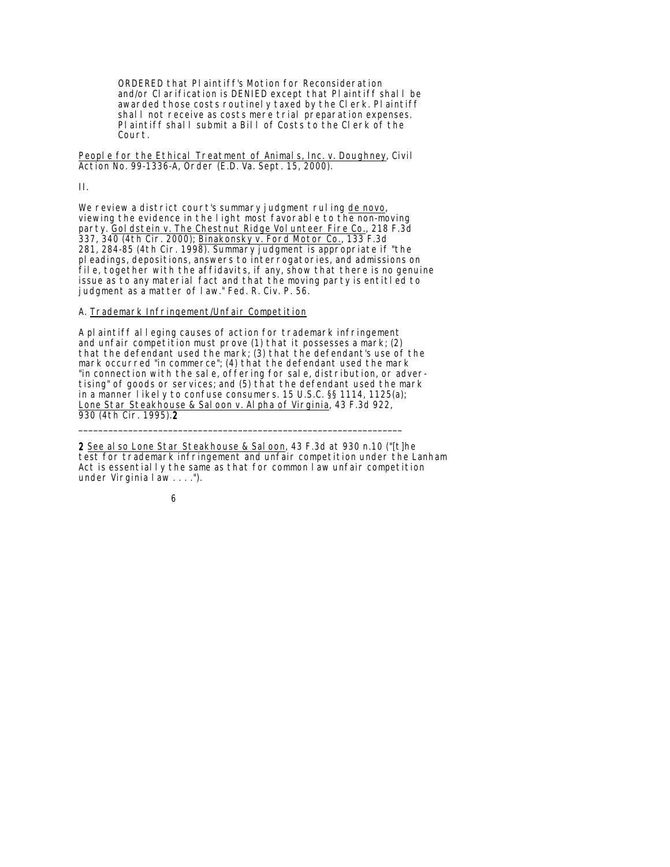ORDERED that Plaintiff's Motion for Reconsideration and/or Clarification is DENIED except that Plaintiff shall be awarded those costs routinely taxed by the Clerk. Plaintiff shall not receive as costs mere trial preparation expenses. Plaintiff shall submit a Bill of Costs to the Clerk of the Court.

People for the Ethical Treatment of Animals, Inc. v. Doughney, Civil Action No. 99-1336-A, Order (E.D. Va. Sept. 15, 2000).

## II.

We review a district court's summary judgment ruling de novo, viewing the evidence in the light most favorable to the non-moving party. <u>Gol dstein v. The Chestnut Ridge Vol unteer Fire Co.</u>, 218 F.3d 337, 340 (4th Cir. 2000); <u>Binakonsky v. Ford Motor Co.</u>, 133 F.3d 281, 284-85 (4th Cir. 1998). Summary judgment is appropriate if "the pleadings, depositions, answers to interrogatories, and admissions on file, together with the affidavits, if any, show that there is no genuine issue as to any material fact and that the moving party is entitled to judgment as a matter of law." Fed. R. Civ. P. 56.

### A. Trademark Infringement/Unfair Competition

A plaintiff alleging causes of action for trademark infringement and unfair competition must prove (1) that it possesses a mark; (2) that the defendant used the mark; (3) that the defendant's use of the mark occurred "in commerce"; (4) that the defendant used the mark "in connection with the sale, offering for sale, distribution, or advertising" of goods or services; and (5) that the defendant used the mark in a manner likely to confuse consumers. 15 U.S.C. §§ 1114, 1125(a); Lone Star Steakhouse & Saloon v. Alpha of Virginia, 43 F.3d 922, 930 (4th Cir. 1995).2 \_\_\_\_\_\_\_\_\_\_\_\_\_\_\_\_\_\_\_\_\_\_\_\_\_\_\_\_\_\_\_\_\_\_\_\_\_\_\_\_\_\_\_\_\_\_\_\_\_\_\_\_\_\_\_\_\_\_\_\_\_\_\_\_\_

2 See also Lone Star Steakhouse & Saloon, 43 F.3d at 930 n.10 ("[t]he test for trademark infringement and unfair competition under the Lanham Act is essentially the same as that for common law unfair competition under Virginia law . . . .").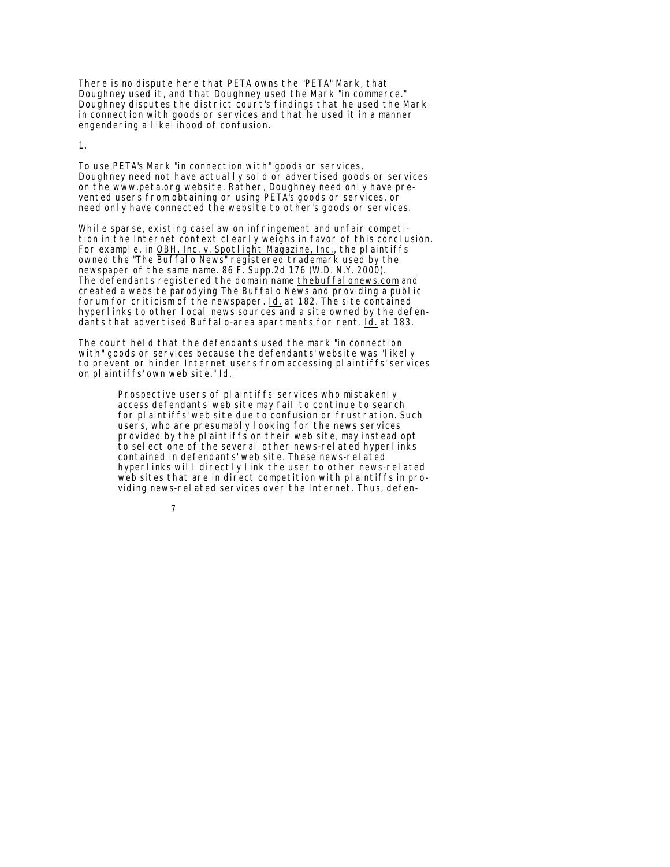There is no dispute here that PETA owns the "PETA" Mark, that Doughney used it, and that Doughney used the Mark "in commerce." Doughney disputes the district court's findings that he used the Mark in connection with goods or services and that he used it in a manner engendering a likelihood of confusion.

1.

To use PETA's Mark "in connection with" goods or services, Doughney need not have actually sold or advertised goods or services on the www.peta.org website. Rather, Doughney need only have prevented users from obtaining or using PETA's goods or services, or need only have connected the website to other's goods or services.

While sparse, existing caselaw on infringement and unfair competition in the Internet context clearly weighs in favor of this conclusion. For example, in OBH, Inc. v. Spotlight Magazine, Inc., the plaintiffs owned the "The Buffalo News" registered trademark used by the newspaper of the same name. 86 F. Supp.2d 176 (W.D. N.Y. 2000). The defendants registered the domain name thebuffalonews.com and created a website parodying The Buffalo News and providing a public forum for criticism of the newspaper. Id. at 182. The site contained hyperlinks to other local news sources and a site owned by the defendants that advertised Buffalo-area apartments for rent. Id. at 183.

The court held that the defendants used the mark "in connection with" goods or services because the defendants' website was "likely to prevent or hinder Internet users from accessing plaintiffs' services on plaintiffs' own web site." Id.

> Prospective users of plaintiffs' services who mistakenly access defendants' web site may fail to continue to search for plaintiffs' web site due to confusion or frustration. Such users, who are presumably looking for the news services provided by the plaintiffs on their web site, may instead opt to select one of the several other news-related hyperlinks contained in defendants' web site. These news-related hyperlinks will directly link the user to other news-related web sites that are in direct competition with plaintiffs in providing news-related services over the Internet. Thus, defen-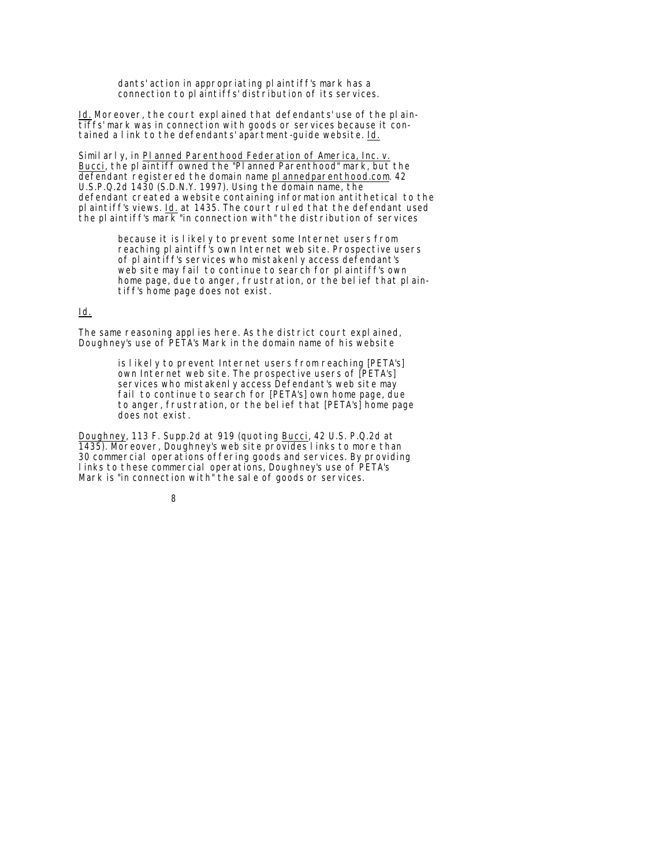dants' action in appropriating plaintiff's mark has a connection to plaintiffs' distribution of its services.

Id. Moreover, the court explained that defendants' use of the plaintiffs' mark was in connection with goods or services because it contained a link to the defendants' apartment-guide website. Id.

Similarly, in Planned Parenthood Federation of America, Inc. v. Bucci, the plaintiff owned the "Planned Parenthood" mark, but the defendant registered the domain name plannedparenthood.com. 42 U.S.P.Q.2d 1430 (S.D.N.Y. 1997). Using the domain name, the defendant created a website containing information antithetical to the pl aintiff's views. <u>Id.</u> at 1435. The court rul ed that the defendant used the plaintiff's mark "in connection with" the distribution of services

> because it is likely to prevent some Internet users from reaching plaintiff's own Internet web site. Prospective users of plaintiff's services who mistakenly access defendant's web site may fail to continue to search for plaintiff's own home page, due to anger, frustration, or the belief that plaintiff's home page does not exist.

#### Id.

The same reasoning applies here. As the district court explained, Doughney's use of PETA's Mark in the domain name of his website

> is likely to prevent Internet users from reaching [PETA's] own Internet web site. The prospective users of [PETA's] services who mistakenly access Defendant's web site may fail to continue to search for [PETA's] own home page, due to anger, frustration, or the belief that [PETA's] home page does not exist.

Doughney, 113 F. Supp.2d at 919 (quoting Bucci, 42 U.S. P.Q.2d at 1435). Moreover, Doughney's web site provides links to more than 30 commercial operations offering goods and services. By providing links to these commercial operations, Doughney's use of PETA's Mark is "in connection with" the sale of goods or services.

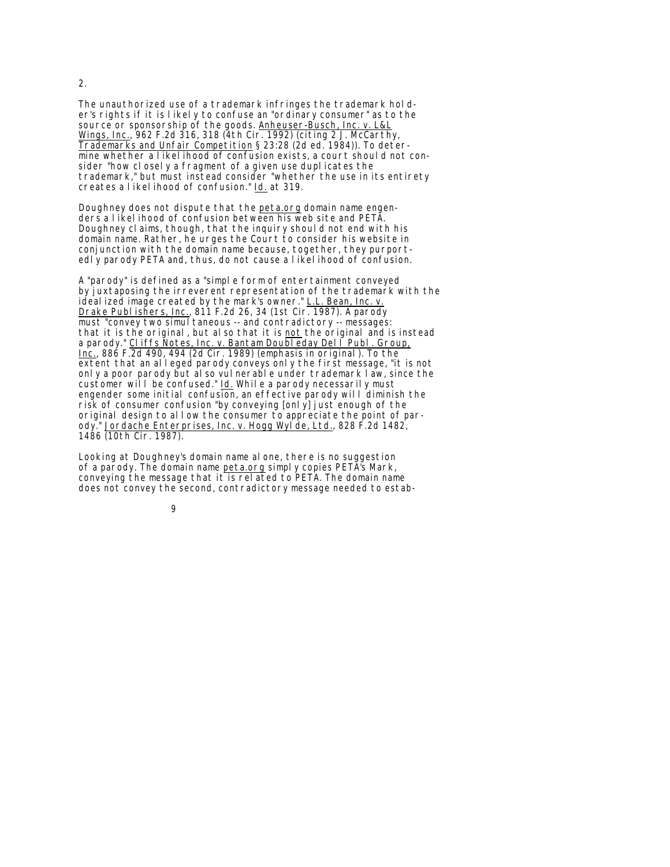The unauthorized use of a trademark infringes the trademark holder's rights if it is likely to confuse an "ordinary consumer" as to the source or sponsorship of the goods. Anheuser-Busch, Inc. v. L&L Wings, Inc., 962 F.2d 316, 318 (4th Cir. 1992) (citing 2 J. McCarthy, Trademarks and Unfair Competition § 23:28 (2d ed. 1984)). To determine whether a likelihood of confusion exists, a court should not consider "how closely a fragment of a given use duplicates the trademark," but must instead consider "whether the use in its entirety creates a likelihood of confusion." Id. at 319.

Doughney does not dispute that the peta.org domain name engenders a likel ihood of confusion between his web site and PETA. Doughney claims, though, that the inquiry should not end with his domain name. Rather, he urges the Court to consider his website in conjunction with the domain name because, together, they purportedly parody PETA and, thus, do not cause a likel ihood of confusion.

A "parody" is defined as a "simple form of entertainment conveyed by juxtaposing the irreverent representation of the trademark with the ideal ized image created by the mark's owner." L.L. Bean, Inc. v. <u>Drake Publ ishers, Inc.</u>, 811 F.2d 26, 34 (1st Cir. 1987). A parody must "convey two simultaneous -- and contradictory -- messages: that it is the original, but also that it is not the original and is instead a parody." Cliffs Notes, Inc. v. Bantam Doubleday Dell Publ. Group. Inc., 886 F.2d 490, 494 (2d Cir. 1989) (emphasis in original). To the extent that an alleged parody conveys only the first message, "it is not only a poor parody but also vulnerable under trademark law, since the customer will be confused." Id. While a parody necessarily must engender some initial confusion, an effective parody will diminish the risk of consumer confusion "by conveying  $[0 \text{ n}]$  just enough of the original design to allow the consumer to appreciate the point of parody." Jordache Enterprises, Inc. v. Hogg Wyl de, Ltd., 828 F.2d 1482, 1486 (10th Cir. 1987).

Looking at Doughney's domain name alone, there is no suggestion of a parody. The domain name peta.org simply copies PETA's Mark, conveying the message that it is related to PETA. The domain name does not convey the second, contradictory message needed to estab-

9

#### 2.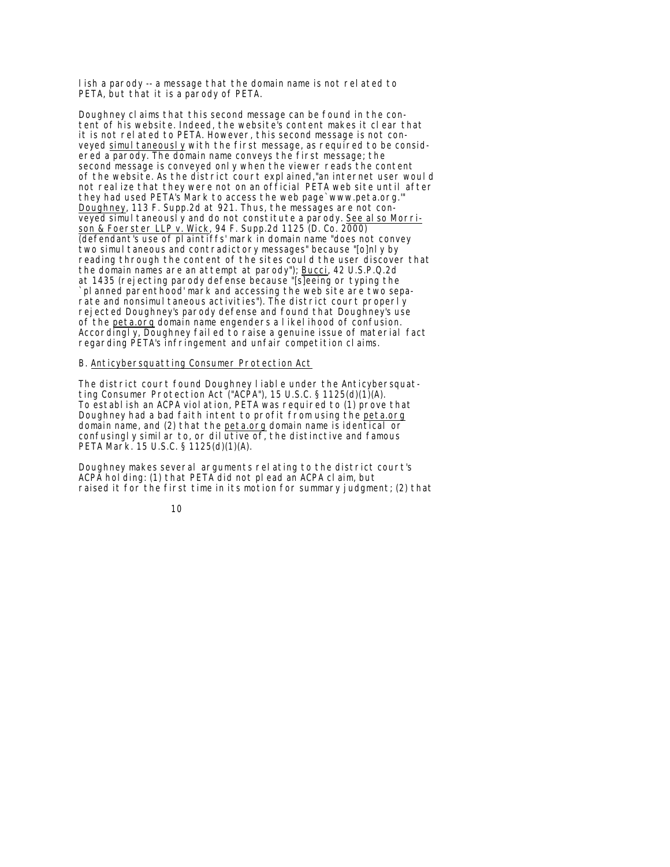lish a parody -- a message that the domain name is not related to PETA, but that it is a parody of PETA.

Doughney claims that this second message can be found in the content of his website. Indeed, the website's content makes it clear that it is not related to PETA. However, this second message is not conveyed simultaneously with the first message, as required to be considered a parody. The domain name conveys the first message; the second message is conveyed only when the viewer reads the content of the website. As the district court explained,"an internet user would not realize that they were not on an official PETA web site until after they had used PETA's Mark to access the web page`www.peta.org.'" Doughney, 113 F. Supp.2d at 921. Thus, the messages are not conveyed simultaneously and do not constitute a parody. See also Morrison & Foerster LLP v. Wick, 94 F. Supp.2d 1125 (D. Co. 2000) (defendant's use of plaintiffs' mark in domain name "does not convey two simul taneous and contradictory messages" because "[o]nly by reading through the content of the sites could the user discover that the domain names are an attempt at parody"); Bucci, 42 U.S.P.Q.2d at 1435 (rejecting parody defense because "[s]eeing or typing the `planned parenthood' mark and accessing the web site are two separate and nonsimultaneous activities"). The district court properly rejected Doughney's parody defense and found that Doughney's use of the peta.org domain name engenders a likelihood of confusion. Accordingly, Doughney failed to raise a genuine issue of material fact regarding PETA's infringement and unfair competition claims.

#### B. Anticybersquatting Consumer Protection Act

The district court found Doughney liable under the Anticybersquatting Consumer Protection Act ("ACPA"), 15 U.S.C. § 1125(d)(1)(A). To establish an ACPA violation, PETA was required to (1) prove that Doughney had a bad faith intent to profit from using the peta.org domain name, and (2) that the peta.org domain name is identical or confusingly similar to, or dilutive of, the distinctive and famous PETA Mark. 15 U.S.C. § 1125(d)(1)(A).

Doughney makes several arguments relating to the district court's  $ACP\overline{A}$  hol ding: (1) that PETA did not plead an ACPA claim, but raised it for the first time in its motion for summary judgment; (2) that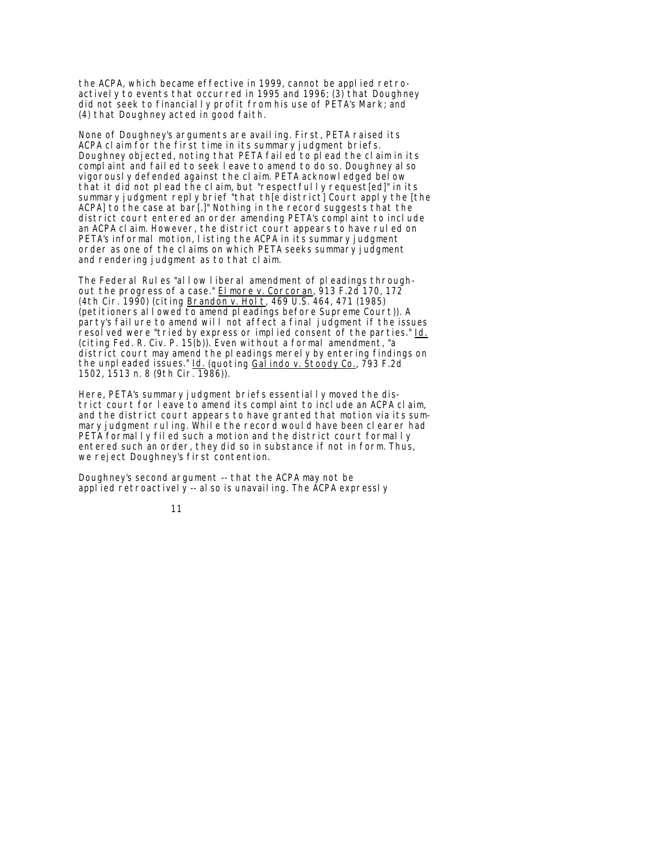the ACPA, which became effective in 1999, cannot be applied retroactively to events that occurred in 1995 and 1996; (3) that Doughney did not seek to financially profit from his use of PETA's Mark; and (4) that Doughney acted in good faith.

None of Doughney's arguments are availing. First, PETA raised its ACPA claim for the first time in its summary judgment briefs. Doughney objected, noting that PETA failed to plead the claim in its complaint and failed to seek leave to amend to do so. Doughney also vigorously defended against the claim. PETA acknowledged below that it did not plead the claim, but "respectfully request[ed]" in its summary judgment reply brief "that th[e district] Court apply the [the ACPA] to the case at bar[.]" Nothing in the record suggests that the district court entered an order amending PETA's complaint to include an ACPA claim. However, the district court appears to have ruled on PETA's informal motion, listing the ACPA in its summary judgment order as one of the claims on which PETA seeks summary judgment and rendering judgment as to that claim.

The Federal Rules "allow liberal amendment of pleadings throughout the progress of a case." <u>El more v. Corcoran</u>, 913 F.2d 170, 172 (4th Cir. 1990) (citing <u>Brandon v. Holt</u>, 469 U.S. 464, 471 (1985) (petitioners allowed to amend pleadings before Supreme Court)). A party's failure to amend will not affect a final judgment if the issues resolved were "tried by express or implied consent of the parties." Id. (citing Fed. R. Civ. P. 15(b)). Even without a formal amendment, "a district court may amend the pleadings merely by entering findings on the unpleaded issues." Id. (quoting Gal indo v. Stoody Co., 793 F.2d 1502, 1513 n. 8 (9th Cir. 1986)).

Here, PETA's summary judgment briefs essentially moved the district court for leave to amend its complaint to include an ACPA claim, and the district court appears to have granted that motion via its summary judgment ruling. While the record would have been clearer had PETA formally filed such a motion and the district court formally entered such an order, they did so in substance if not in form. Thus, we reject Doughney's first contention.

Doughney's second argument -- that the ACPA may not be applied retroactively  $-$  also is unavailing. The ACPA expressly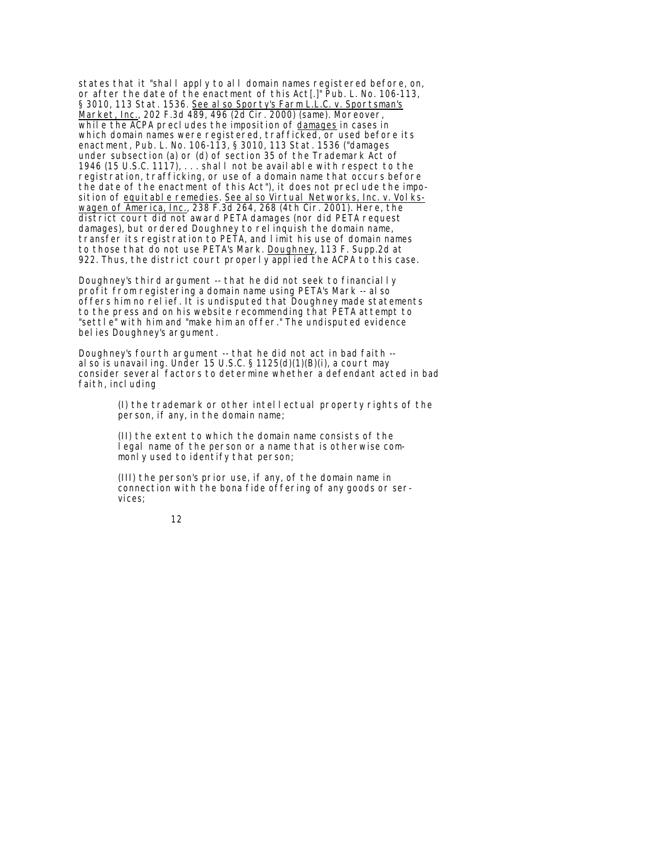states that it "shall apply to all domain names registered before, on, or after the date of the enactment of this Act[.]" Pub. L. No. 106-113, § 3010, 113 Stat. 1536. See also Sporty's Farm L.L.C. v. Sportsman's Market, Inc., 202 F.3d 489, 496 (2d Cir. 2000) (same). Moreover, while the ACPA precludes the imposition of damages in cases in which domain names were registered, trafficked, or used before its enactment, Pub. L. No. 106-113, § 3010, 113 Stat. 1536 ("damages under subsection (a) or (d) of section 35 of the Trademark Act of 1946 (15 U.S.C. 1117), . . . shall not be available with respect to the registration, trafficking, or use of a domain name that occurs before the date of the enactment of this Act"), it does not preclude the imposition of <u>equitable remedies</u>. <u>See also Virtual Networks, Inc. v. Volks</u>wagen of America, Inc., 238 F.3d 264, 268 (4th Cir. 2001). Here, the district court did not award PETA damages (nor did PETA request damages), but ordered Doughney to relinquish the domain name, transfer its registration to PETA, and limit his use of domain names to those that do not use PETA's Mark. Doughney, 113 F. Supp.2d at 922. Thus, the district court properly applied the ACPA to this case.

Doughney's third argument -- that he did not seek to financially profit from registering a domain name using PETA's Mark -- also offers him no relief. It is undisputed that Doughney made statements to the press and on his website recommending that PETA attempt to "settle" with him and "make him an offer." The undisputed evidence belies Doughney's argument.

Doughney's fourth argument -- that he did not act in bad faith - al so is unavailing. Under 15 U.S.C. §  $1125(d)(1)(B)(i)$ , a court may consider several factors to determine whether a defendant acted in bad faith, including

> (I) the trademark or other intellectual property rights of the person, if any, in the domain name;

(II) the extent to which the domain name consists of the legal name of the person or a name that is otherwise commonly used to identify that person;

(III) the person's prior use, if any, of the domain name in connection with the bona fide offering of any goods or services;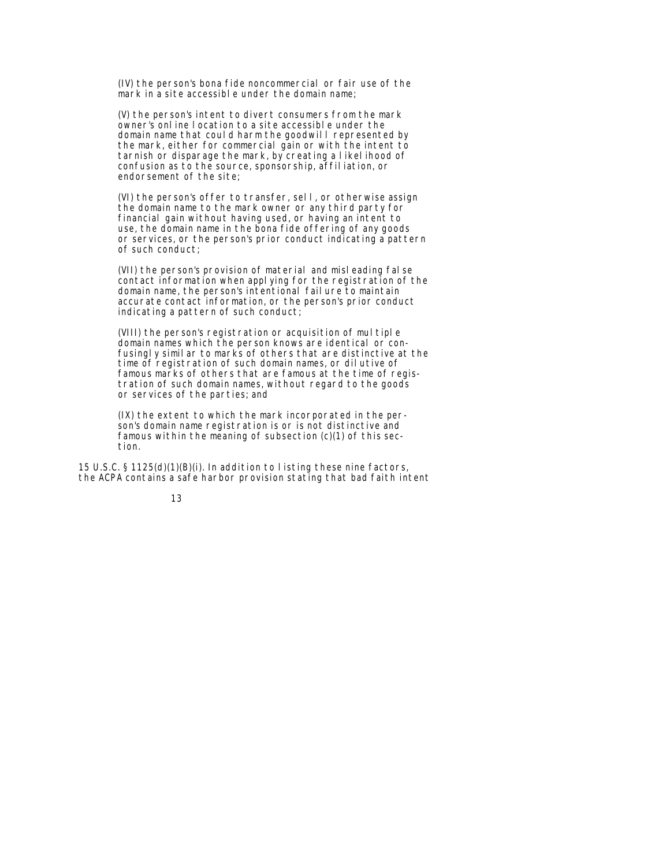(IV) the person's bona fide noncommercial or fair use of the mark in a site accessible under the domain name;

(V) the person's intent to divert consumers from the mark owner's online location to a site accessible under the domain name that could harm the goodwill represented by the mark, either for commercial gain or with the intent to tarnish or disparage the mark, by creating a likelihood of confusion as to the source, sponsorship, affiliation, or endorsement of the site;

(VI) the person's offer to transfer, sell, or otherwise assign the domain name to the mark owner or any third party for financial gain without having used, or having an intent to use, the domain name in the bona fide offering of any goods or services, or the person's prior conduct indicating a pattern of such conduct;

(VII) the person's provision of material and misleading false contact information when applying for the registration of the domain name, the person's intentional failure to maintain accurate contact information, or the person's prior conduct indicating a pattern of such conduct;

(VIII) the person's registration or acquisition of multiple domain names which the person knows are identical or confusingly similar to marks of others that are distinctive at the time of registration of such domain names, or dilutive of famous marks of others that are famous at the time of registration of such domain names, without regard to the goods or services of the parties; and

(IX) the extent to which the mark incorporated in the person's domain name registration is or is not distinctive and famous within the meaning of subsection (c)(1) of this section.

15 U.S.C. § 1125(d)(1)(B)(i). In addition to listing these nine factors, the ACPA contains a safe harbor provision stating that bad faith intent

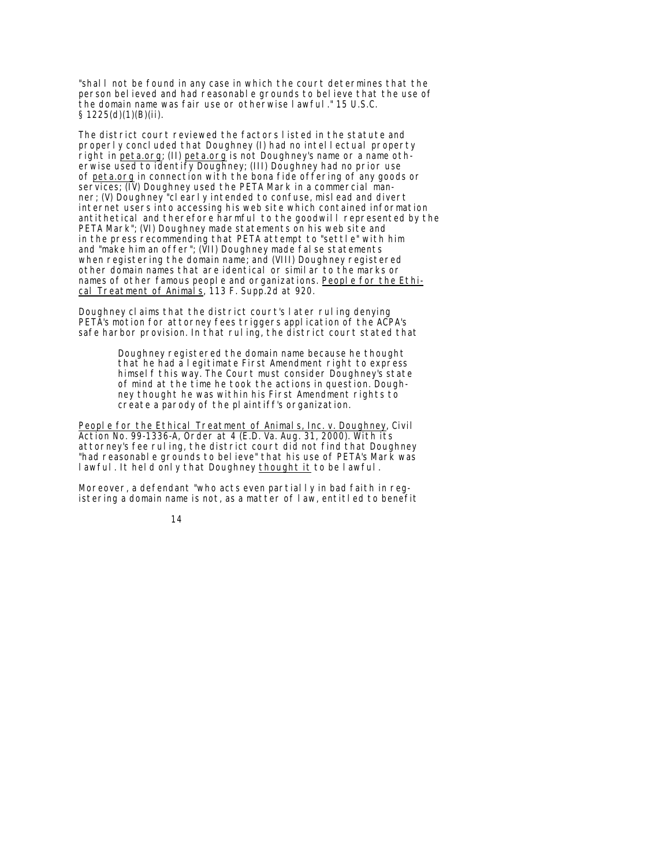"shall not be found in any case in which the court determines that the person believed and had reasonable grounds to believe that the use of the domain name was fair use or otherwise lawful." 15 U.S.C.  $$ 1225(d)(1)(B)(ii).$ 

The district court reviewed the factors listed in the statute and properly concluded that Doughney (I) had no intellectual property right in peta.org; (II) peta.org is not Doughney's name or a name otherwise used to identify Doughney; (III) Doughney had no prior use of peta.org in connection with the bona fide offering of any goods or services; (IV) Doughney used the PETA Mark in a commercial manner; (V) Doughney "clearly intended to confuse, mislead and divert internet users into accessing his web site which contained information antithetical and therefore harmful to the goodwill represented by the PETA Mark"; (VI) Doughney made statements on his web site and in the press recommending that PETA attempt to "settle" with him and "make him an offer"; (VII) Doughney made fal se statements when registering the domain name; and (VIII) Doughney registered other domain names that are identical or similar to the marks or names of other famous people and organizations. People for the Ethical Treatment of Animals, 113 F. Supp.2d at 920.

Doughney claims that the district court's later ruling denying PETA's motion for attorney fees triggers application of the ACPA's safe harbor provision. In that ruling, the district court stated that

> Doughney registered the domain name because he thought that he had a legitimate First Amendment right to express himself this way. The Court must consider Doughney's state of mind at the time he took the actions in question. Doughney thought he was within his First Amendment rights to create a parody of the plaintiff's organization.

People for the Ethical Treatment of Animals, Inc. v. Doughney, Civil Action No. 99-1336-A, Order at 4 (E.D. Va. Aug. 31, 2000). With its attorney's fee ruling, the district court did not find that Doughney "had reasonable grounds to believe" that his use of PETA's Mark was l awful. It held only that Doughney <u>thought it</u> to be lawful.

Moreover, a defendant "who acts even partially in bad faith in registering a domain name is not, as a matter of law, entitled to benefit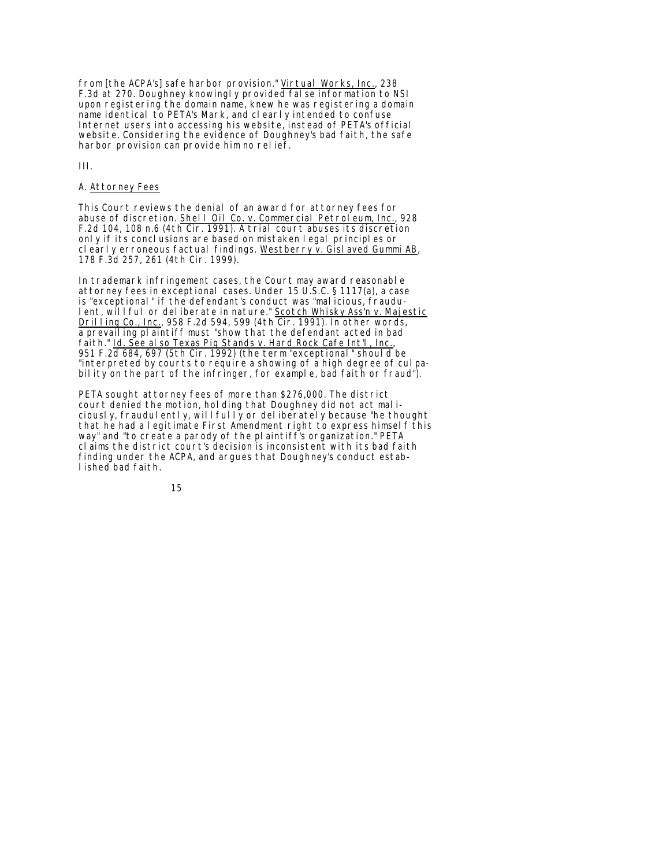from [the ACPA's] safe harbor provision." Virtual Works, Inc., 238 F.3d at 270. Doughney knowingly provided false information to NSI upon registering the domain name, knew he was registering a domain name identical to PETA's Mark, and clearly intended to confuse Internet users into accessing his website, instead of PETA's official website. Considering the evidence of Doughney's bad faith, the safe harbor provision can provide him no relief.

III.

#### A. Attorney Fees

This Court reviews the denial of an award for attorney fees for abuse of discretion. Shell Oil Co. v. Commercial Petroleum, Inc., 928 F.2d 104, 108 n.6 (4th Cir. 1991). A trial court abuses its discretion only if its conclusions are based on mistaken legal principles or clearly erroneous factual findings. Westberry v. Gislaved Gummi AB, 178 F.3d 257, 261 (4th Cir. 1999).

In trademark infringement cases, the Court may award reasonable attorney fees in exceptional cases. Under 15 U.S.C. § 1117(a), a case is "exceptional" if the defendant's conduct was "malicious, fraudul ent, wil l ful or del iberate in nature." <u>Scotch Whisky Ass'n v. Majestic</u> Drilling Co., Inc., 958 F.2d 594, 599 (4th Cir. 1991). In other words, a prevailing plaintiff must "show that the defendant acted in bad faith." Id. See also Texas Pig Stands v. Hard Rock Cafe Int'l, Inc. 951 F.2d 684, 697 (5th Cir. 1992) (the term "exceptional" should be "interpreted by courts to require a showing of a high degree of culpability on the part of the infringer, for example, bad faith or fraud").

PETA sought attorney fees of more than \$276,000. The district court denied the motion, holding that Doughney did not act maliciously, fraudulently, willfully or deliberately because "he thought that he had a legitimate First Amendment right to express himself this way" and "to create a parody of the plaintiff's organization." PETA claims the district court's decision is inconsistent with its bad faith finding under the ACPA, and argues that Doughney's conduct established bad faith.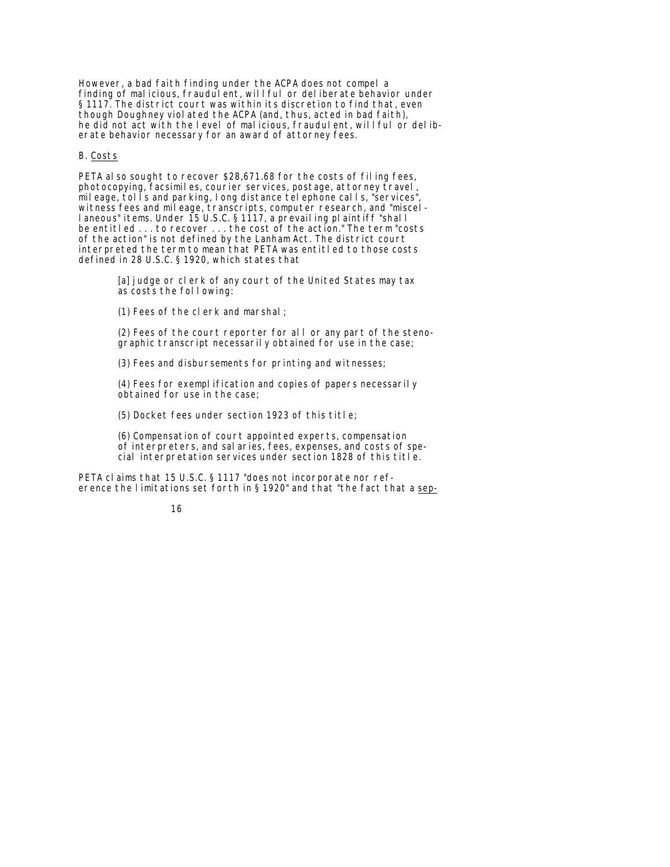However, a bad faith finding under the ACPA does not compel a finding of malicious, fraudulent, will ful or deliberate behavior under § 1117. The district court was within its discretion to find that, even though Doughney violated the ACPA (and, thus, acted in bad faith), he did not act with the level of malicious, fraudulent, willful or deliberate behavior necessary for an award of attorney fees.

#### B. Costs

PETA also sought to recover \$28,671.68 for the costs of filing fees, photocopying, facsimiles, courier services, postage, attorney travel, mileage, tolls and parking, long distance telephone calls, "services", witness fees and mileage, transcripts, computer research, and "miscellaneous" items. Under 15 U.S.C. § 1117, a prevailing plaintiff "shall be entitled . . . to recover . . . the cost of the action." The term "costs of the action" is not defined by the Lanham Act. The district court interpreted the term to mean that PETA was entitled to those costs defined in 28 U.S.C. § 1920, which states that

> [a] judge or clerk of any court of the United States may tax as costs the following:

(1) Fees of the clerk and marshal;

(2) Fees of the court reporter for all or any part of the stenographic transcript necessarily obtained for use in the case;

(3) Fees and disbursements for printing and witnesses;

(4) Fees for exemplification and copies of papers necessarily obtained for use in the case;

(5) Docket fees under section 1923 of this title;

(6) Compensation of court appointed experts, compensation of interpreters, and salaries, fees, expenses, and costs of special interpretation services under section 1828 of this title.

PETA claims that 15 U.S.C. § 1117 "does not incorporate nor reference the limitations set forth in § 1920" and that "the fact that a sep-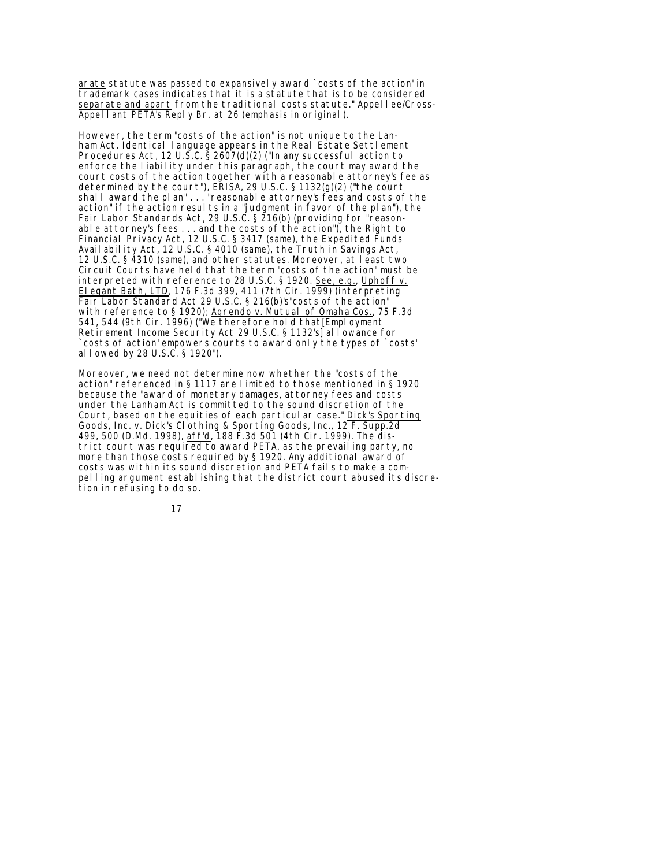arate statute was passed to expansively award `costs of the action' in trademark cases indicates that it is a statute that is to be considered separate and apart from the traditional costs statute." Appellee/Cross-Appellant PETA's Reply Br. at 26 (emphasis in original).

However, the term "costs of the action" is not unique to the Lanham Act. Identical language appears in the Real Estate Settlement Procedures Act, 12 U.S.C. § 2607(d)(2) ("In any successful action to enforce the liability under this paragraph, the court may award the court costs of the action together with a reasonable attorney's fee as determined by the court"), ERISA, 29 U.S.C. § 1132(g)(2) ("the court shall award the plan" . . . "reasonable attorney's fees and costs of the action" if the action resul ts in a "judgment in favor of the pl an"), the Fair Labor Standards Act, 29 U.S.C. § 216(b) (providing for "reasonable attorney's fees . . . and the costs of the action"), the Right to Financial Privacy Act, 12 U.S.C. § 3417 (same), the Expedited Funds Availability Act, 12 U.S.C. § 4010 (same), the Truth in Savings Act, 12 U.S.C. § 4310 (same), and other statutes. Moreover, at least two Circuit Courts have held that the term "costs of the action" must be interpreted with reference to 28 U.S.C. § 1920. See, e.g., Uphoff v. Elegant Bath, LTD, 176 F.3d 399, 411 (7th Cir. 1999) (interpreting Fair Labor Standard Act 29 U.S.C. § 216(b)'s"costs of the action" with reference to § 1920); Agrendo v. Mutual of Omaha Cos., 75 F.3d 541, 544 (9th Cir. 1996) ("We therefore hold that Employment" Retirement Income Security Act 29 U.S.C. § 1132's] allowance for `costs of action' empowers courts to award only the types of `costs' allowed by 28 U.S.C. § 1920").

Moreover, we need not determine now whether the "costs of the action" referenced in § 1117 are limited to those mentioned in § 1920 because the "award of monetary damages, attorney fees and costs under the Lanham Act is committed to the sound discretion of the Court, based on the equities of each particul ar case." <u>Dick's Sporting</u> Goods, Inc. v. Dick's Clothing & Sporting Goods, Inc., 12 F. Supp.2d 499, 500 (D.Md. 1998), aff'd, 188 F.3d 501 (4th Cir. 1999). The district court was required to award PETA, as the prevailing party, no more than those costs required by § 1920. Any additional award of costs was within its sound discretion and PETA fails to make a compelling argument establishing that the district court abused its discretion in refusing to do so.